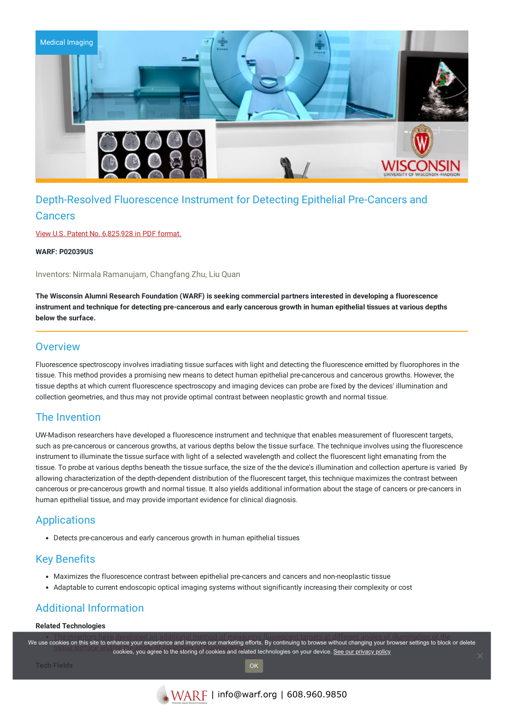

# Depth-Resolved Fluorescence Instrument for Detecting Epithelial Pre-Cancers and

#### **Cancers**

View U.S. Patent No. [6,825,928](https://www.warf.org/wp-content/uploads/technologies/ipstatus/P02039US.PDF) in PDF format.

**WARF: P02039US**

Inventors: Nirmala Ramanujam, Changfang Zhu, Liu Quan

**The Wisconsin Alumni Research Foundation (WARF) is seeking commercial partners interested in developing a fluorescence** instrument and technique for detecting pre-cancerous and early cancerous growth in human epithelial tissues at various depths **below the surface.**

#### **Overview**

Fluorescence spectroscopy involves irradiating tissue surfaces with light and detecting the fluorescence emitted by fluorophores in the tissue. This method provides a promising new means to detect human epithelial pre-cancerous and cancerous growths. However, the tissue depths at which current fluorescence spectroscopy and imaging devices can probe are fixed by the devices' illumination and collection geometries, and thus may not provide optimal contrast between neoplastic growth and normal tissue.

### The Invention

UW-Madison researchers have developed a fluorescence instrument and technique that enables measurement of fluorescent targets, such as pre-cancerous or cancerous growths, at various depths below the tissue surface. The technique involves using the fluorescence instrument to illuminate the tissue surface with light of a selected wavelength and collect the fluorescent light emanating from the tissue. To probe at various depths beneath the tissue surface, the size of the the device's illumination and collection aperture is varied By allowing characterization of the depth-dependent distribution of the fluorescent target, this technique maximizes the contrast between cancerous or pre-cancerous growth and normal tissue. It also yields additional information about the stage of cancers or pre-cancers in human epithelial tissue, and may provide important evidence for clinical diagnosis.

## Applications

Detects pre-cancerous and early cancerous growth in human epithelial tissues

### Key Benefits

- Maximizes the fluorescence contrast between epithelial pre-cancers and cancers and non-neoplastic tissue
- Adaptable to current endoscopic optical imaging systems without significantly increasing their complexity or cost

## Additional Information

#### **Related Technologies**

.<br>We use c[ookies on this site to enhance your experience and improve our marketing efforts. By continuing to browse without changing your browser settings to block](https://www.warf.org/technologies/summary/P02039US/) or delete etists on the angle of condition of the storing of collection of collection of condition of collection of the<br>cookies, you agree to the storing of cookies and related technologies on your device. <u>See our privacy policy</u>

OK

**Tech Fields**